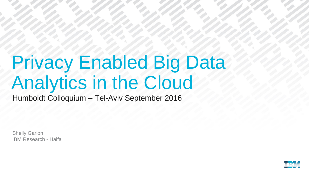# Privacy Enabled Big Data Analytics in the Cloud

Humboldt Colloquium – Tel-Aviv September 2016

Shelly Garion IBM Research - Haifa

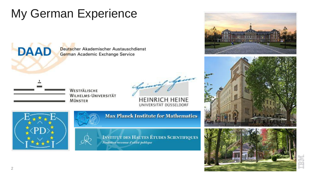# My German Experience

Deutscher Akademischer Austauschdienst German Academic Exchange Service

Spaining faires

**HEINRICH HEINE** UNIVERSITAT DUSSELDORF



**DAAD** 



**WESTFÄLISCHE** 

**MÜNSTER** 

**WILHELMS-UNIVERSITÄT** 

**Max Planck Institute for Mathematics** 

**INSTITUT DES HAUTES ÉTUDES SCIENTIFIQUES** Fondation reconnue d'utilité publique





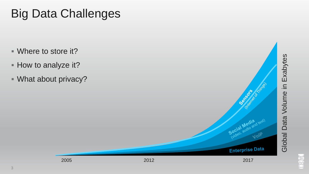# Big Data Challenges

- Where to store it?
- How to analyze it?
- What about privacy?

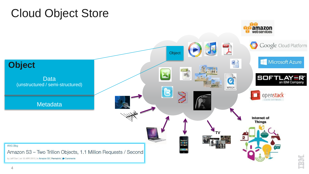#### Cloud Object Store

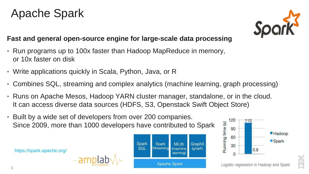### Apache Spark



**High**  $\left\Vert \cdot\right\Vert _{1}^{1}\right\Vert _{1}^{1}$ 

120

110

#### **Fast and general open-source engine for large-scale data processing**

- Run programs up to 100x faster than Hadoop MapReduce in memory, or 10x faster on disk
- Write applications quickly in Scala, Python, Java, or R
- Combines SQL, streaming and complex analytics (machine learning, graph processing)
- Runs on Apache Mesos, Hadoop YARN cluster manager, standalone, or in the cloud. It can access diverse data sources (HDFS, S3, Openstack Swift Object Store)
- Built by a wide set of developers from over 200 companies. Since 2009, more than 1000 developers have contributed to Spark

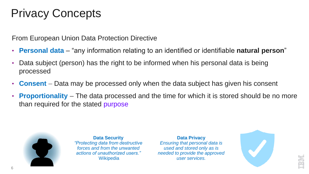# Privacy Concepts

From European Union Data Protection Directive

- **Personal data**  "any information relating to an identified or identifiable **natural person**"
- Data subject (person) has the right to be informed when his personal data is being processed
- **Consent** Data may be processed only when the data subject has given his consent
- **Proportionality** The data processed and the time for which it is stored should be no more than required for the stated purpose



**Data Security**  *"Protecting data from destructive forces and from the unwanted actions of unauthorized users."*  **Wikipedia** 

**Data Privacy** *Ensuring that personal data is used and stored only as is needed to provide the approved user services.*